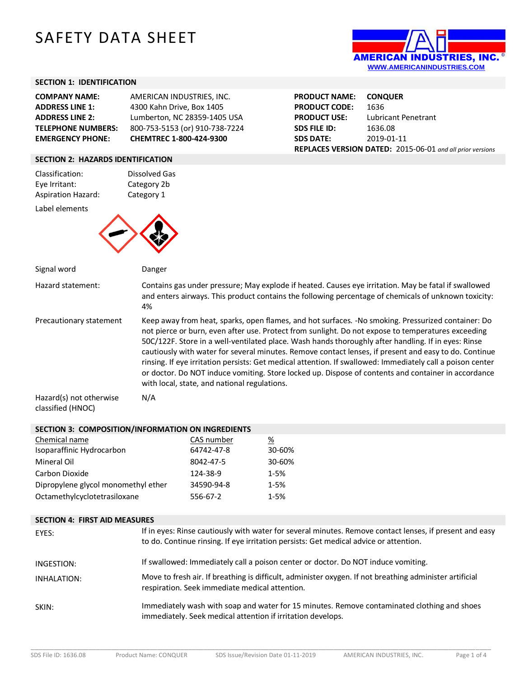# SAFETY DATA SHEET



## **SECTION 1: IDENTIFICATION**

| <b>COMPANY NAME:</b>      | AMERICAN INDUSTRIES, INC.      |
|---------------------------|--------------------------------|
| <b>ADDRESS LINE 1:</b>    | 4300 Kahn Drive, Box 1405      |
| <b>ADDRESS LINE 2:</b>    | Lumberton, NC 28359-1405 USA   |
| <b>TELEPHONE NUMBERS:</b> | 800-753-5153 (or) 910-738-7224 |
| <b>EMERGENCY PHONE:</b>   | CHEMTREC 1-800-424-9300        |

| <b>PRODUCT NAME:</b>                                      | <b>CONQUER</b>      |  |
|-----------------------------------------------------------|---------------------|--|
| <b>PRODUCT CODE:</b>                                      | 1636                |  |
| <b>PRODUCT USE:</b>                                       | Lubricant Penetrant |  |
| <b>SDS FILE ID:</b>                                       | 1636.08             |  |
| <b>SDS DATE:</b>                                          | 2019-01-11          |  |
| REPLACES VERSION DATED: 2015-06-01 and all prior versions |                     |  |

#### **SECTION 2: HAZARDS IDENTIFICATION**

| Classification:           | Dissolved Gas |
|---------------------------|---------------|
| Eye Irritant:             | Category 2b   |
| <b>Aspiration Hazard:</b> | Category 1    |
| Label elements            |               |
|                           |               |



| Signal word             | Danger                                                                                                                                                                                                                                                                                                                                                                                                                                                                                                                                                                                                                                                                                        |
|-------------------------|-----------------------------------------------------------------------------------------------------------------------------------------------------------------------------------------------------------------------------------------------------------------------------------------------------------------------------------------------------------------------------------------------------------------------------------------------------------------------------------------------------------------------------------------------------------------------------------------------------------------------------------------------------------------------------------------------|
| Hazard statement:       | Contains gas under pressure; May explode if heated. Causes eye irritation. May be fatal if swallowed<br>and enters airways. This product contains the following percentage of chemicals of unknown toxicity:<br>4%                                                                                                                                                                                                                                                                                                                                                                                                                                                                            |
| Precautionary statement | Keep away from heat, sparks, open flames, and hot surfaces. -No smoking. Pressurized container: Do<br>not pierce or burn, even after use. Protect from sunlight. Do not expose to temperatures exceeding<br>50C/122F. Store in a well-ventilated place. Wash hands thoroughly after handling. If in eyes: Rinse<br>cautiously with water for several minutes. Remove contact lenses, if present and easy to do. Continue<br>rinsing. If eye irritation persists: Get medical attention. If swallowed: Immediately call a poison center<br>or doctor. Do NOT induce vomiting. Store locked up. Dispose of contents and container in accordance<br>with local, state, and national regulations. |
| Hazard(s) not otherwise | N/A                                                                                                                                                                                                                                                                                                                                                                                                                                                                                                                                                                                                                                                                                           |

classified (HNOC)

#### **SECTION 3: COMPOSITION/INFORMATION ON INGREDIENTS**

| Chemical name                       | CAS number | %        |
|-------------------------------------|------------|----------|
| Isoparaffinic Hydrocarbon           | 64742-47-8 | 30-60%   |
| Mineral Oil                         | 8042-47-5  | 30-60%   |
| Carbon Dioxide                      | 124-38-9   | $1 - 5%$ |
| Dipropylene glycol monomethyl ether | 34590-94-8 | $1 - 5%$ |
| Octamethylcyclotetrasiloxane        | 556-67-2   | $1 - 5%$ |

### **SECTION 4: FIRST AID MEASURES**

| EYES:       | If in eyes: Rinse cautiously with water for several minutes. Remove contact lenses, if present and easy<br>to do. Continue rinsing. If eye irritation persists: Get medical advice or attention. |
|-------------|--------------------------------------------------------------------------------------------------------------------------------------------------------------------------------------------------|
| INGESTION:  | If swallowed: Immediately call a poison center or doctor. Do NOT induce vomiting.                                                                                                                |
| INHALATION: | Move to fresh air. If breathing is difficult, administer oxygen. If not breathing administer artificial<br>respiration. Seek immediate medical attention.                                        |
| SKIN:       | Immediately wash with soap and water for 15 minutes. Remove contaminated clothing and shoes<br>immediately. Seek medical attention if irritation develops.                                       |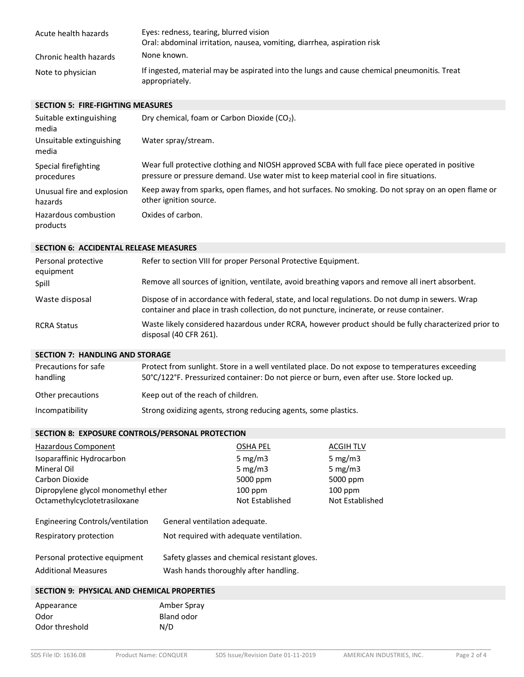| Acute health hazards   | Eyes: redness, tearing, blurred vision<br>Oral: abdominal irritation, nausea, vomiting, diarrhea, aspiration risk |
|------------------------|-------------------------------------------------------------------------------------------------------------------|
| Chronic health hazards | None known.                                                                                                       |
| Note to physician      | If ingested, material may be aspirated into the lungs and cause chemical pneumonitis. Treat<br>appropriately.     |

#### **SECTION 5: FIRE-FIGHTING MEASURES**

| Suitable extinguishing<br>media       | Dry chemical, foam or Carbon Dioxide (CO <sub>2</sub> ).                                                                                                                                 |
|---------------------------------------|------------------------------------------------------------------------------------------------------------------------------------------------------------------------------------------|
| Unsuitable extinguishing<br>media     | Water spray/stream.                                                                                                                                                                      |
| Special firefighting<br>procedures    | Wear full protective clothing and NIOSH approved SCBA with full face piece operated in positive<br>pressure or pressure demand. Use water mist to keep material cool in fire situations. |
| Unusual fire and explosion<br>hazards | Keep away from sparks, open flames, and hot surfaces. No smoking. Do not spray on an open flame or<br>other ignition source.                                                             |
| Hazardous combustion<br>products      | Oxides of carbon.                                                                                                                                                                        |

#### **SECTION 6: ACCIDENTAL RELEASE MEASURES**

| Personal protective<br>equipment | Refer to section VIII for proper Personal Protective Equipment.                                                                                                                               |
|----------------------------------|-----------------------------------------------------------------------------------------------------------------------------------------------------------------------------------------------|
| Spill                            | Remove all sources of ignition, ventilate, avoid breathing vapors and remove all inert absorbent.                                                                                             |
| Waste disposal                   | Dispose of in accordance with federal, state, and local regulations. Do not dump in sewers. Wrap<br>container and place in trash collection, do not puncture, incinerate, or reuse container. |
| <b>RCRA Status</b>               | Waste likely considered hazardous under RCRA, however product should be fully characterized prior to<br>disposal (40 CFR 261).                                                                |

#### **SECTION 7: HANDLING AND STORAGE**

| Precautions for safe<br>handling | Protect from sunlight. Store in a well ventilated place. Do not expose to temperatures exceeding<br>50°C/122°F. Pressurized container: Do not pierce or burn, even after use. Store locked up. |
|----------------------------------|------------------------------------------------------------------------------------------------------------------------------------------------------------------------------------------------|
| Other precautions                | Keep out of the reach of children.                                                                                                                                                             |
| Incompatibility                  | Strong oxidizing agents, strong reducing agents, some plastics.                                                                                                                                |

#### **SECTION 8: EXPOSURE CONTROLS/PERSONAL PROTECTION**

| Hazardous Component                 | <b>OSHA PEL</b> | <b>ACGIH TLV</b> |
|-------------------------------------|-----------------|------------------|
| Isoparaffinic Hydrocarbon           | 5 mg/m $3$      | 5 mg/m $3$       |
| Mineral Oil                         | 5 mg/m $3$      | 5 mg/m $3$       |
| Carbon Dioxide                      | 5000 ppm        | 5000 ppm         |
| Dipropylene glycol monomethyl ether | $100$ ppm       | $100$ ppm        |
| Octamethylcyclotetrasiloxane        | Not Established | Not Established  |

| Engineering Controls/ventilation | General ventilation adequate.                 |
|----------------------------------|-----------------------------------------------|
| Respiratory protection           | Not required with adequate ventilation.       |
| Personal protective equipment    | Safety glasses and chemical resistant gloves. |
| <b>Additional Measures</b>       | Wash hands thoroughly after handling.         |

## **SECTION 9: PHYSICAL AND CHEMICAL PROPERTIES**

| Appearance     | Amber Spray |
|----------------|-------------|
| Odor           | Bland odor  |
| Odor threshold | N/D         |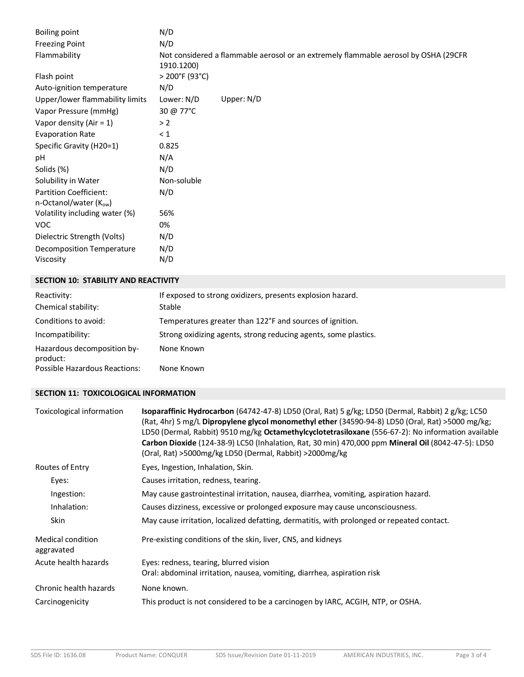| <b>Boiling point</b>                                        | N/D            |                                                                                     |
|-------------------------------------------------------------|----------------|-------------------------------------------------------------------------------------|
| <b>Freezing Point</b>                                       | N/D            |                                                                                     |
| Flammability                                                | 1910.1200)     | Not considered a flammable aerosol or an extremely flammable aerosol by OSHA (29CFR |
| Flash point                                                 | > 200°F (93°C) |                                                                                     |
| Auto-ignition temperature                                   | N/D            |                                                                                     |
| Upper/lower flammability limits                             | Lower: N/D     | Upper: $N/D$                                                                        |
| Vapor Pressure (mmHg)                                       | 30 @ 77°C      |                                                                                     |
| Vapor density (Air = $1$ )                                  | > 2            |                                                                                     |
| <b>Evaporation Rate</b>                                     | $\leq 1$       |                                                                                     |
| Specific Gravity (H20=1)                                    | 0.825          |                                                                                     |
| pH                                                          | N/A            |                                                                                     |
| Solids (%)                                                  | N/D            |                                                                                     |
| Solubility in Water                                         | Non-soluble    |                                                                                     |
| <b>Partition Coefficient:</b><br>n-Octanol/water $(K_{ow})$ | N/D            |                                                                                     |
| Volatility including water (%)                              | 56%            |                                                                                     |
| <b>VOC</b>                                                  | 0%             |                                                                                     |
| Dielectric Strength (Volts)                                 | N/D            |                                                                                     |
| Decomposition Temperature                                   | N/D            |                                                                                     |
| Viscosity                                                   | N/D            |                                                                                     |

## **SECTION 10: STABILITY AND REACTIVITY**

| Reactivity:                             | If exposed to strong oxidizers, presents explosion hazard.      |
|-----------------------------------------|-----------------------------------------------------------------|
| Chemical stability:                     | Stable                                                          |
| Conditions to avoid:                    | Temperatures greater than 122°F and sources of ignition.        |
| Incompatibility:                        | Strong oxidizing agents, strong reducing agents, some plastics. |
| Hazardous decomposition by-<br>product: | None Known                                                      |
| Possible Hazardous Reactions:           | None Known                                                      |

## **SECTION 11: TOXICOLOGICAL INFORMATION**

| Toxicological information       | <b>Isoparaffinic Hydrocarbon</b> (64742-47-8) LD50 (Oral, Rat) 5 $g/kg$ ; LD50 (Dermal, Rabbit) 2 $g/kg$ ; LC50<br>(Rat, 4hr) 5 mg/L Dipropylene glycol monomethyl ether (34590-94-8) LD50 (Oral, Rat) >5000 mg/kg;<br>LD50 (Dermal, Rabbit) 9510 mg/kg Octamethylcyclotetrasiloxane (556-67-2): No information available<br>Carbon Dioxide (124-38-9) LC50 (Inhalation, Rat, 30 min) 470,000 ppm Mineral Oil (8042-47-5): LD50<br>(Oral, Rat) >5000mg/kg LD50 (Dermal, Rabbit) >2000mg/kg |  |
|---------------------------------|--------------------------------------------------------------------------------------------------------------------------------------------------------------------------------------------------------------------------------------------------------------------------------------------------------------------------------------------------------------------------------------------------------------------------------------------------------------------------------------------|--|
| Routes of Entry                 | Eyes, Ingestion, Inhalation, Skin.                                                                                                                                                                                                                                                                                                                                                                                                                                                         |  |
| Eyes:                           | Causes irritation, redness, tearing.                                                                                                                                                                                                                                                                                                                                                                                                                                                       |  |
| Ingestion:                      | May cause gastrointestinal irritation, nausea, diarrhea, vomiting, aspiration hazard.                                                                                                                                                                                                                                                                                                                                                                                                      |  |
| Inhalation:                     | Causes dizziness, excessive or prolonged exposure may cause unconsciousness.                                                                                                                                                                                                                                                                                                                                                                                                               |  |
| <b>Skin</b>                     | May cause irritation, localized defatting, dermatitis, with prolonged or repeated contact.                                                                                                                                                                                                                                                                                                                                                                                                 |  |
| Medical condition<br>aggravated | Pre-existing conditions of the skin, liver, CNS, and kidneys                                                                                                                                                                                                                                                                                                                                                                                                                               |  |
| Acute health hazards            | Eyes: redness, tearing, blurred vision<br>Oral: abdominal irritation, nausea, vomiting, diarrhea, aspiration risk                                                                                                                                                                                                                                                                                                                                                                          |  |
| Chronic health hazards          | None known.                                                                                                                                                                                                                                                                                                                                                                                                                                                                                |  |
| Carcinogenicity                 | This product is not considered to be a carcinogen by IARC, ACGIH, NTP, or OSHA.                                                                                                                                                                                                                                                                                                                                                                                                            |  |